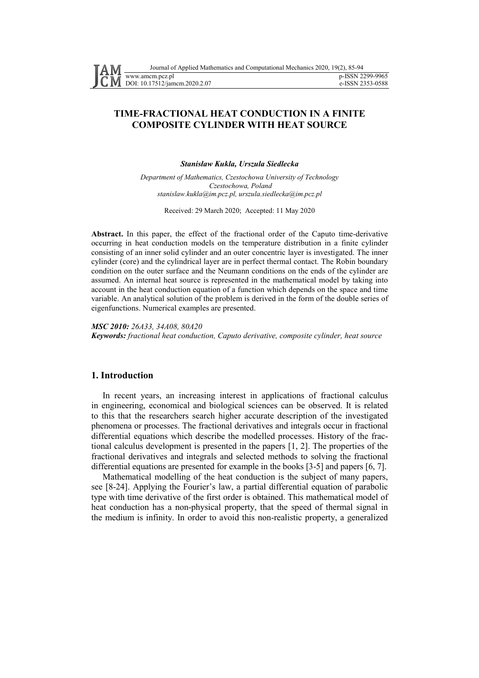# **TIME-FRACTIONAL HEAT CONDUCTION IN A FINITE COMPOSITE CYLINDER WITH HEAT SOURCE**

*Stanisław Kukla, Urszula Siedlecka*

*Department of Mathematics, Czestochowa University of Technology Czestochowa, Poland stanislaw.kukla@im.pcz.pl, urszula.siedlecka@im.pcz.pl* 

Received: 29 March 2020; Accepted: 11 May 2020

**Abstract.** In this paper, the effect of the fractional order of the Caputo time-derivative occurring in heat conduction models on the temperature distribution in a finite cylinder consisting of an inner solid cylinder and an outer concentric layer is investigated. The inner cylinder (core) and the cylindrical layer are in perfect thermal contact. The Robin boundary condition on the outer surface and the Neumann conditions on the ends of the cylinder are assumed. An internal heat source is represented in the mathematical model by taking into account in the heat conduction equation of a function which depends on the space and time variable. An analytical solution of the problem is derived in the form of the double series of eigenfunctions. Numerical examples are presented.

*MSC 2010: 26A33, 34A08, 80A20* 

*Keywords: fractional heat conduction, Caputo derivative, composite cylinder, heat source* 

## **1. Introduction**

In recent years, an increasing interest in applications of fractional calculus in engineering, economical and biological sciences can be observed. It is related to this that the researchers search higher accurate description of the investigated phenomena or processes. The fractional derivatives and integrals occur in fractional differential equations which describe the modelled processes. History of the fractional calculus development is presented in the papers [1, 2]. The properties of the fractional derivatives and integrals and selected methods to solving the fractional differential equations are presented for example in the books [3-5] and papers [6, 7].

Mathematical modelling of the heat conduction is the subject of many papers, see [8-24]. Applying the Fourier's law, a partial differential equation of parabolic type with time derivative of the first order is obtained. This mathematical model of heat conduction has a non-physical property, that the speed of thermal signal in the medium is infinity. In order to avoid this non-realistic property, a generalized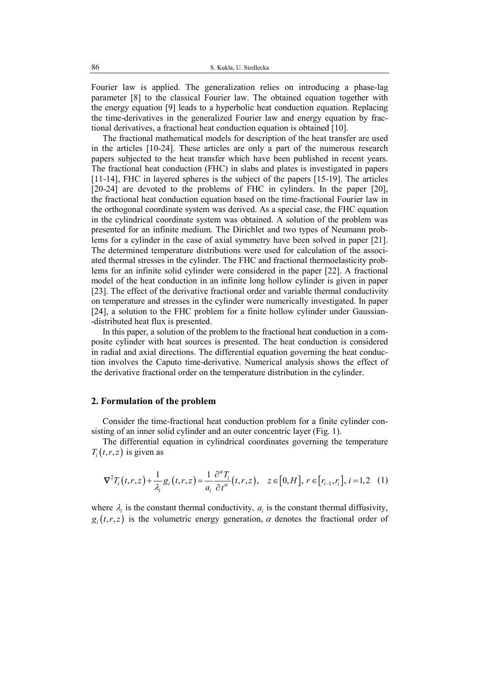Fourier law is applied. The generalization relies on introducing a phase-lag parameter [8] to the classical Fourier law. The obtained equation together with the energy equation [9] leads to a hyperbolic heat conduction equation. Replacing the time-derivatives in the generalized Fourier law and energy equation by fractional derivatives, a fractional heat conduction equation is obtained [10].

The fractional mathematical models for description of the heat transfer are used in the articles [10-24]. These articles are only a part of the numerous research papers subjected to the heat transfer which have been published in recent years. The fractional heat conduction (FHC) in slabs and plates is investigated in papers [11-14], FHC in layered spheres is the subject of the papers [15-19]. The articles [20-24] are devoted to the problems of FHC in cylinders. In the paper [20], the fractional heat conduction equation based on the time-fractional Fourier law in the orthogonal coordinate system was derived. As a special case, the FHC equation in the cylindrical coordinate system was obtained. A solution of the problem was presented for an infinite medium. The Dirichlet and two types of Neumann problems for a cylinder in the case of axial symmetry have been solved in paper [21]. The determined temperature distributions were used for calculation of the associated thermal stresses in the cylinder. The FHC and fractional thermoelasticity problems for an infinite solid cylinder were considered in the paper [22]. A fractional model of the heat conduction in an infinite long hollow cylinder is given in paper [23]. The effect of the derivative fractional order and variable thermal conductivity on temperature and stresses in the cylinder were numerically investigated. In paper [24], a solution to the FHC problem for a finite hollow cylinder under Gaussian--distributed heat flux is presented.

In this paper, a solution of the problem to the fractional heat conduction in a composite cylinder with heat sources is presented. The heat conduction is considered in radial and axial directions. The differential equation governing the heat conduction involves the Caputo time-derivative. Numerical analysis shows the effect of the derivative fractional order on the temperature distribution in the cylinder.

## **2. Formulation of the problem**

Consider the time-fractional heat conduction problem for a finite cylinder consisting of an inner solid cylinder and an outer concentric layer (Fig. 1).

The differential equation in cylindrical coordinates governing the temperature  $T_i(t, r, z)$  is given as

$$
\nabla^2 T_i(t,r,z) + \frac{1}{\lambda_i} g_i(t,r,z) = \frac{1}{a_i} \frac{\partial^{\alpha} T_i}{\partial t^{\alpha}}(t,r,z), \quad z \in [0,H], \ r \in [r_{i-1},r_i], \ i = 1,2 \quad (1)
$$

where  $\lambda_i$  is the constant thermal conductivity,  $a_i$  is the constant thermal diffusivity,  $g_i(t,r,z)$  is the volumetric energy generation,  $\alpha$  denotes the fractional order of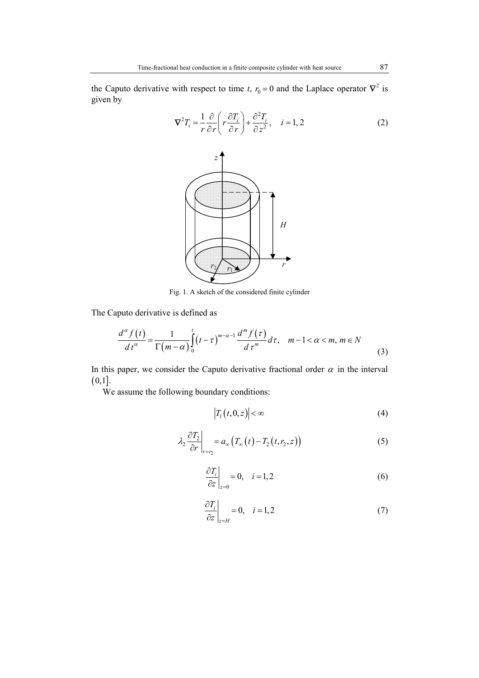the Caputo derivative with respect to time *t*,  $r_0 = 0$  and the Laplace operator  $\nabla^2$  is given by



Fig. 1. A sketch of the considered finite cylinder

The Caputo derivative is defined as

$$
\frac{d^{\alpha} f(t)}{dt^{\alpha}} = \frac{1}{\Gamma(m-\alpha)} \int_{0}^{t} (t-\tau)^{m-\alpha-1} \frac{d^{m} f(\tau)}{d\tau^{m}} d\tau, \quad m-1 < \alpha < m, m \in N
$$
\n(3)

In this paper, we consider the Caputo derivative fractional order  $\alpha$  in the interval  $(0,1].$ 

We assume the following boundary conditions:

$$
\left|T_1(t,0,z)\right| < \infty \tag{4}
$$

$$
\lambda_2 \frac{\partial T_2}{\partial r}\bigg|_{r=r_2} = a_{\infty} \big( T_{\infty} \big( t \big) - T_2 \big( t, r_2, z \big) \big) \tag{5}
$$

$$
\left. \frac{\partial T_i}{\partial z} \right|_{z=0} = 0, \quad i = 1, 2 \tag{6}
$$

$$
\left. \frac{\partial T_i}{\partial z} \right|_{z=H} = 0, \quad i = 1, 2 \tag{7}
$$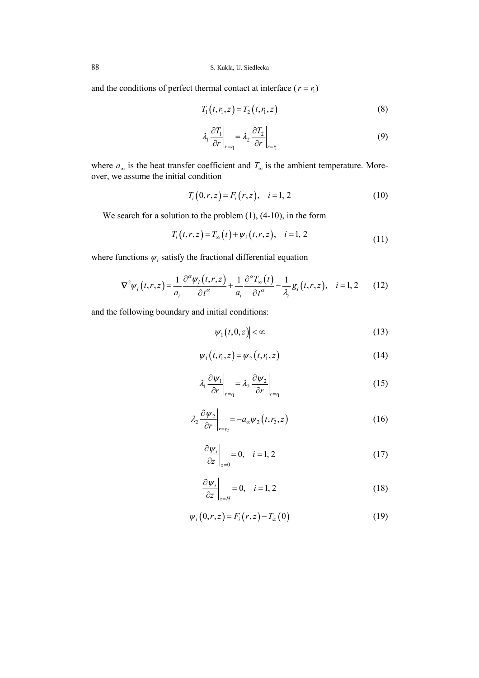and the conditions of perfect thermal contact at interface  $(r = r_1)$ 

$$
T_1(t, r_1, z) = T_2(t, r_1, z)
$$
\n(8)

$$
\lambda_1 \frac{\partial T_1}{\partial r}\bigg|_{r=\eta} = \lambda_2 \frac{\partial T_2}{\partial r}\bigg|_{r=\eta}
$$
\n(9)

where  $a_{\infty}$  is the heat transfer coefficient and  $T_{\infty}$  is the ambient temperature. Moreover, we assume the initial condition

$$
T_i(0,r,z) = F_i(r,z), \quad i = 1, 2
$$
 (10)

We search for a solution to the problem  $(1)$ ,  $(4-10)$ , in the form

$$
T_i(t,r,z) = T_{\infty}(t) + \psi_i(t,r,z), \quad i = 1, 2
$$
\n(11)

where functions  $\psi_i$  satisfy the fractional differential equation

$$
\nabla^2 \psi_i(t,r,z) = \frac{1}{a_i} \frac{\partial^{\alpha} \psi_i(t,r,z)}{\partial t^{\alpha}} + \frac{1}{a_i} \frac{\partial^{\alpha} T_{\infty}(t)}{\partial t^{\alpha}} - \frac{1}{\lambda_i} g_i(t,r,z), \quad i = 1, 2 \quad (12)
$$

and the following boundary and initial conditions:

$$
\left|\psi_1\big(t,0,z\big)\right| < \infty \tag{13}
$$

$$
\psi_1(t, r_1, z) = \psi_2(t, r_1, z) \tag{14}
$$

$$
\lambda_1 \frac{\partial \psi_1}{\partial r}\bigg|_{r=r_1} = \lambda_2 \frac{\partial \psi_2}{\partial r}\bigg|_{r=r_1}
$$
 (15)

$$
\lambda_2 \frac{\partial \psi_2}{\partial r}\bigg|_{r=r_2} = -a_{\infty} \psi_2(t, r_2, z) \tag{16}
$$

$$
\left. \frac{\partial \psi_i}{\partial z} \right|_{z=0} = 0, \quad i = 1, 2 \tag{17}
$$

$$
\left. \frac{\partial \psi_i}{\partial z} \right|_{z=H} = 0, \quad i = 1, 2 \tag{18}
$$

$$
\psi_i(0, r, z) = F_i(r, z) - T_{\infty}(0)
$$
\n(19)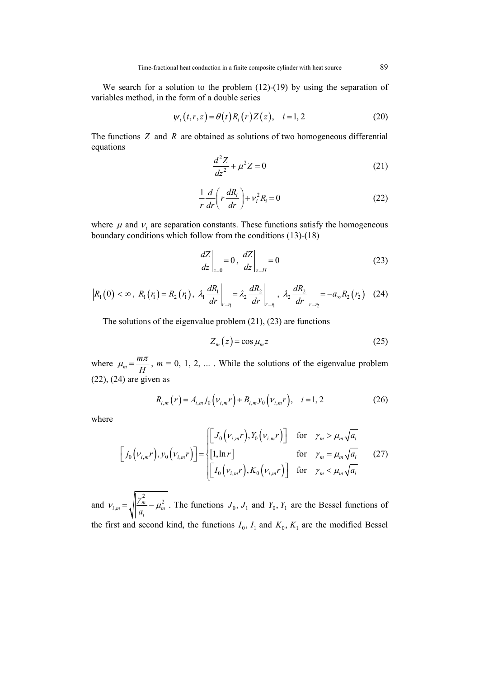We search for a solution to the problem (12)-(19) by using the separation of variables method, in the form of a double series

$$
\psi_i(t,r,z) = \theta(t) R_i(r) Z(z), \quad i = 1, 2 \tag{20}
$$

The functions *Z* and *R* are obtained as solutions of two homogeneous differential equations

$$
\frac{d^2Z}{dz^2} + \mu^2 Z = 0
$$
 (21)

$$
\frac{1}{r}\frac{d}{dr}\left(r\frac{dR_i}{dr}\right) + v_i^2 R_i = 0\tag{22}
$$

where  $\mu$  and  $v_i$  are separation constants. These functions satisfy the homogeneous boundary conditions which follow from the conditions (13)-(18)

$$
\left. \frac{dZ}{dz} \right|_{z=0} = 0, \left. \frac{dZ}{dz} \right|_{z=H} = 0 \tag{23}
$$

$$
\left|R_{1}(0)\right| < \infty, \ R_{1}(r_{1}) = R_{2}(r_{1}), \ \lambda_{1} \frac{dR_{1}}{dr}\bigg|_{r=\eta} = \lambda_{2} \frac{dR_{2}}{dr}\bigg|_{r=\eta}, \ \lambda_{2} \frac{dR_{2}}{dr}\bigg|_{r=\eta_{2}} = -a_{\infty}R_{2}(r_{2}) \quad (24)
$$

The solutions of the eigenvalue problem (21), (23) are functions

$$
Z_m(z) = \cos \mu_m z \tag{25}
$$

where  $\mu_m = \frac{m}{l}$ *H*  $\mu_m = \frac{m\pi}{l}$ ,  $m = 0, 1, 2, ...$ . While the solutions of the eigenvalue problem (22), (24) are given as

$$
R_{i,m}(r) = A_{i,m} j_0 \left( v_{i,m} r \right) + B_{i,m} v_0 \left( v_{i,m} r \right), \quad i = 1, 2 \tag{26}
$$

where

$$
\begin{bmatrix} j_0(\nu_{i,m}r), y_0(\nu_{i,m}r) \end{bmatrix} = \begin{cases} \begin{bmatrix} J_0(\nu_{i,m}r), Y_0(\nu_{i,m}r) \end{bmatrix} & \text{for } \gamma_m > \mu_m \sqrt{a_i} \\ \begin{bmatrix} 1, \ln r \end{bmatrix} & \text{for } \gamma_m = \mu_m \sqrt{a_i} \\ \begin{bmatrix} I_0(\nu_{i,m}r), K_0(\nu_{i,m}r) \end{bmatrix} & \text{for } \gamma_m < \mu_m \sqrt{a_i} \end{cases}
$$
 (27)

and  $\mu_{i,m} = \sqrt{\frac{\gamma_m^2}{n} - \mu_m^2}$ *i a*  $V_{i,m} = \sqrt{\left|\frac{\gamma_m}{I}\right|} - \mu_m^2$ . The functions  $J_0, J_1$  and  $Y_0, Y_1$  are the Bessel functions of the first and second kind, the functions  $I_0$ ,  $I_1$  and  $K_0$ ,  $K_1$  are the modified Bessel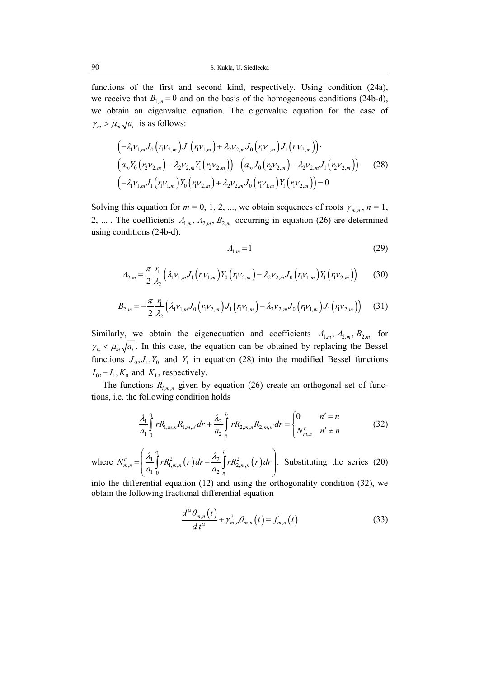functions of the first and second kind, respectively. Using condition (24a), we receive that  $B_{1,m} = 0$  and on the basis of the homogeneous conditions (24b-d), we obtain an eigenvalue equation. The eigenvalue equation for the case of  $\gamma_m > \mu_m \sqrt{a_i}$  is as follows:

$$
\begin{aligned}\n&\left(-\lambda_1 \nu_{1,m} J_0 \left(r_1 \nu_{2,m}\right) J_1 \left(r_1 \nu_{1,m}\right) + \lambda_2 \nu_{2,m} J_0 \left(r_1 \nu_{1,m}\right) J_1 \left(r_1 \nu_{2,m}\right)\right)\right. \\
&\left.\left(a_\infty Y_0 \left(r_2 \nu_{2,m}\right) - \lambda_2 \nu_{2,m} Y_1 \left(r_2 \nu_{2,m}\right)\right) - \left(a_\infty J_0 \left(r_2 \nu_{2,m}\right) - \lambda_2 \nu_{2,m} J_1 \left(r_2 \nu_{2,m}\right)\right)\right. \\
&\left. \left(-\lambda_1 \nu_{1,m} J_1 \left(r_1 \nu_{1,m}\right) Y_0 \left(r_1 \nu_{2,m}\right) + \lambda_2 \nu_{2,m} J_0 \left(r_1 \nu_{1,m}\right) Y_1 \left(r_1 \nu_{2,m}\right)\right) = 0\n\end{aligned}\n\tag{28}
$$

Solving this equation for  $m = 0, 1, 2, ...$ , we obtain sequences of roots  $\gamma_{m,n}$ ,  $n = 1$ , 2, ... . The coefficients  $A_{1,m}$ ,  $A_{2,m}$ ,  $B_{2,m}$  occurring in equation (26) are determined using conditions (24b-d):

$$
A_{1,m} = 1 \tag{29}
$$

$$
A_{2,m} = \frac{\pi}{2} \frac{r_1}{\lambda_2} \left( \lambda_1 v_{1,m} J_1 \left( r_1 v_{1,m} \right) Y_0 \left( r_1 v_{2,m} \right) - \lambda_2 v_{2,m} J_0 \left( r_1 v_{1,m} \right) Y_1 \left( r_1 v_{2,m} \right) \right) \tag{30}
$$

$$
B_{2,m} = -\frac{\pi}{2} \frac{r_1}{\lambda_2} \Big( \lambda_1 \nu_{1,m} J_0 \Big( r_1 \nu_{2,m} \Big) J_1 \Big( r_1 \nu_{1,m} \Big) - \lambda_2 \nu_{2,m} J_0 \Big( r_1 \nu_{1,m} \Big) J_1 \Big( r_1 \nu_{2,m} \Big) \Big) \tag{31}
$$

Similarly, we obtain the eigenequation and coefficients  $A_{1,m}$ ,  $A_{2,m}$ ,  $B_{2,m}$  for  $\gamma_m < \mu_m \sqrt{a_i}$ . In this case, the equation can be obtained by replacing the Bessel functions  $J_0$ ,  $J_1$ ,  $Y_0$  and  $Y_1$  in equation (28) into the modified Bessel functions  $I_0, -I_1, K_0$  and  $K_1$ , respectively.

The functions  $R_{i,m,n}$  given by equation (26) create an orthogonal set of functions, i.e. the following condition holds

$$
\frac{\lambda_1}{a_1} \int_0^n r R_{1,m,n} R_{1,m,n'} dr + \frac{\lambda_2}{a_2} \int_1^b r R_{2,m,n} R_{2,m,n'} dr = \begin{cases} 0 & n' = n \\ N_{m,n}^r & n' \neq n \end{cases}
$$
 (32)

where  $N_{m,n}^{r} = \left( \frac{\lambda_1}{r} \right)^2 r R_{1,m,n}^2(r) dr + \frac{\lambda_2}{r} \int^b r R_{2,m,n}^2(r) dr$ 1  $\mathcal{L}_{n} = \frac{|\mathcal{L}_1|}{\pi} \int r R_{1,m,n}^2(r) dr + \frac{|\mathcal{L}_2|}{\pi} \int r R_{2,m,n}^2$  $\begin{array}{ccc} 1 & 0 & \end{array}$   $\begin{array}{ccc} u_2 & \end{array}$ *r*  $\frac{1}{2}$  *b*  $r_{m,n} = \frac{\lambda_1}{r} \int r R_{1,m,n}^2(r) dr + \frac{\lambda_2}{r} \int r R_{2,m,n}^2$ *r*  $N_{m,n}^{r} = \frac{N_1}{r} \left[ rR_{m,n}^2(r)dr + \frac{N_2}{r^2} \right] rR_{2,m,n}^2(r)dr$  $a_1$ <sup>1</sup>,  $a_2$ <sup>1, *m*, *n*</sup> (*n*)  $a_2$  $\begin{pmatrix} \lambda_1^h & \lambda_2 & \lambda_3^h & \lambda_4^h & \lambda_5^h & \lambda_6^h & \lambda_6^h & \lambda_7^h & \lambda_8^h & \lambda_8^h & \lambda_8^h & \lambda_8^h & \lambda_8^h & \lambda_8^h & \lambda_8^h & \lambda_8^h & \lambda_8^h & \lambda_8^h & \lambda_8^h & \lambda_8^h & \lambda_8^h & \lambda_8^h & \lambda_8^h & \lambda_8^h & \lambda_8^h & \lambda_8^h & \lambda_8^h & \lambda_8^h & \lambda_8^h & \lambda_8^h & \lambda_8^h$  $=\frac{Z_1}{2}\int rR_{1,m,n}^2(r)dr+\frac{Z_2}{2}\int rR_{2,m,n}^2(r)dr$ .  $\begin{pmatrix} a_1 \\ 0 \end{pmatrix}$   $\begin{pmatrix} a_2 \\ n \end{pmatrix}$  $\int rR_{1,m,n}^2(r)dr + \frac{\lambda_2}{a_n}\int rR_{2,m,n}^2(r)dr$ . Substituting the series (20)

into the differential equation (12) and using the orthogonality condition (32), we obtain the following fractional differential equation

$$
\frac{d^{\alpha}\theta_{m,n}(t)}{dt^{\alpha}} + \gamma_{m,n}^{2}\theta_{m,n}(t) = f_{m,n}(t)
$$
\n(33)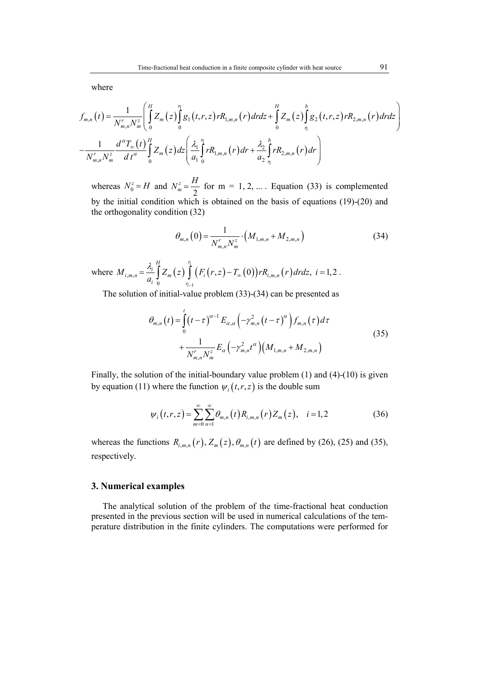where

$$
f_{m,n}(t) = \frac{1}{N_{m,n}^{r} N_{m}^{z}} \left( \int_{0}^{H} Z_{m}(z) \int_{0}^{n} g_{1}(t,r,z) r R_{1,m,n}(r) dr dz + \int_{0}^{H} Z_{m}(z) \int_{1}^{b} g_{2}(t,r,z) r R_{2,m,n}(r) dr dz \right)
$$

$$
-\frac{1}{N_{m,n}^{r} N_{m}^{z}} \frac{d^{\alpha} T_{\infty}(t)}{dt^{\alpha}} \int_{0}^{H} Z_{m}(z) dz \left( \frac{\lambda_{1}}{a_{1}} \int_{0}^{n} r R_{1,m,n}(r) dr + \frac{\lambda_{2}}{a_{2}} \int_{1}^{b} r R_{2,m,n}(r) dr \right)
$$

whereas  $N_0^z = H$  and 2 *z m*  $N_m^z = \frac{H}{2}$  for m = 1, 2, ... . Equation (33) is complemented by the initial condition which is obtained on the basis of equations (19)-(20) and the orthogonality condition (32)

$$
\theta_{m,n}(0) = \frac{1}{N_{m,n}^r N_m^z} \cdot \left( M_{1,m,n} + M_{2,m,n} \right) \tag{34}
$$

where  $M_{i,m,n} = \frac{\lambda_i}{r} \int Z_m(z) \int (F_i(r,z) - T_{\infty}(0)) r R_{i,m,n}(r) dr$ 1  $\mu_{m,n}$   $=$   $\mu_{m}$   $\left\{2\right\}$   $\left\lfloor \frac{I_{i}(I,2)}{I_{i}(I,2)}\right\rfloor - \frac{I_{\infty}(V)}{I_{i}(I,2)}$ 0  $(r, z) - T_{\infty}(0)$ )  $rR_{i,m,n}(r) dr dz$ ,  $i = 1,2$ *i i H r*  $I_{i,m,n} = \frac{\lambda_i}{n} \left[ Z_m(z) \right] \left( F_i(r,z) - T_{\infty}(0) \right) r R_{i,m,n}$ *i r*  $M_{i,m,n} = \frac{N_i}{r} \left[ Z_m(z) \right] \left( F_i(r,z) - T_{\infty}(0) \right) r R_{i,m,n}(r) dr dz, i =$ *a*  $\lambda$ .  $\overline{a}$  $=\frac{\lambda_{i}}{a_{i}}\int Z_{m}(z)\int (F_{i}(r,z)-T_{\infty}(0))rR_{i,m,n}(r)drdz, i=1,2.$ 

The solution of initial-value problem (33)-(34) can be presented as

$$
\theta_{m,n}(t) = \int_{0}^{t} (t-\tau)^{\alpha-1} E_{\alpha,\alpha} \left( -\gamma_{m,n}^{2} (t-\tau)^{\alpha} \right) f_{m,n}(\tau) d\tau + \frac{1}{N_{m,n}^{r} N_{m}^{z}} E_{\alpha} \left( -\gamma_{m,n}^{2} t^{\alpha} \right) \left( M_{1,m,n} + M_{2,m,n} \right)
$$
(35)

Finally, the solution of the initial-boundary value problem (1) and (4)-(10) is given by equation (11) where the function  $\psi_i(t, r, z)$  is the double sum

$$
\psi_i(t,r,z) = \sum_{m=0}^{\infty} \sum_{n=1}^{\infty} \theta_{m,n}(t) R_{i,m,n}(r) Z_m(z), \quad i = 1,2 \tag{36}
$$

whereas the functions  $R_{i,m,n}(r)$ ,  $Z_m(z)$ ,  $\theta_{m,n}(t)$  are defined by (26), (25) and (35), respectively.

#### **3. Numerical examples**

The analytical solution of the problem of the time-fractional heat conduction presented in the previous section will be used in numerical calculations of the temperature distribution in the finite cylinders. The computations were performed for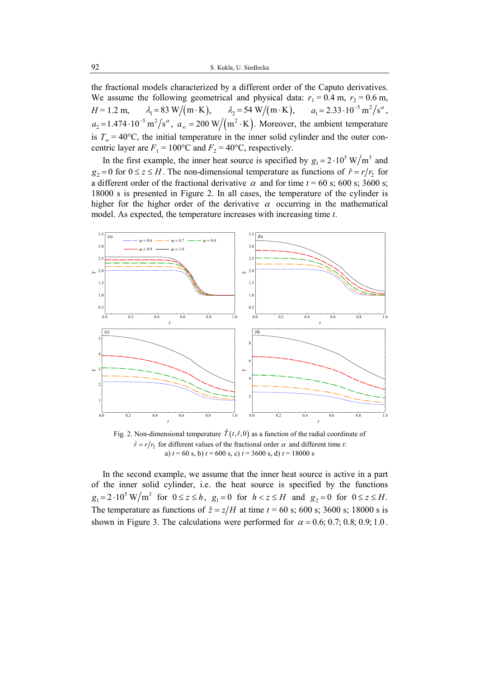the fractional models characterized by a different order of the Caputo derivatives. We assume the following geometrical and physical data:  $r_1 = 0.4$  m,  $r_2 = 0.6$  m,  $H = 1.2 \text{ m}, \qquad \lambda_1 = 83 \text{ W/(m} \cdot \text{K)}, \qquad \lambda_2 = 54 \text{ W/(m} \cdot \text{K)}, \qquad a_1 = 2.33 \cdot 10^{-5} \text{ m}^2/\text{s}^{\alpha},$  $a_2 = 1.474 \cdot 10^{-5} \text{ m}^2/\text{s}^{\alpha}$ ,  $a_{\infty} = 200 \text{ W/(m}^2 \cdot \text{K)}$ . Moreover, the ambient temperature is  $T_{\infty} = 40$ °C, the initial temperature in the inner solid cylinder and the outer concentric layer are  $F_1 = 100$ <sup>o</sup>C and  $F_2 = 40$ <sup>o</sup>C, respectively.

In the first example, the inner heat source is specified by  $g_1 = 2 \cdot 10^5 \text{ W/m}^3$  and  $g_2 = 0$  for  $0 \le z \le H$ . The non-dimensional temperature as functions of  $\hat{r} = r/r_2$  for a different order of the fractional derivative  $\alpha$  and for time  $t = 60$  s; 600 s; 3600 s; 18000 s is presented in Figure 2. In all cases, the temperature of the cylinder is higher for the higher order of the derivative  $\alpha$  occurring in the mathematical model. As expected, the temperature increases with increasing time *t*.



Fig. 2. Non-dimensional temperature  $\hat{T}(t, \hat{r}, 0)$  as a function of the radial coordinate of  $\hat{r} = r/r_2$  for different values of the fractional order  $\alpha$  and different time *t*: a) *t* = 60 s, b) *t* = 600 s, c) *t* = 3600 s, d) *t* = 18000 s

In the second example, we assume that the inner heat source is active in a part of the inner solid cylinder, i.e. the heat source is specified by the functions  $g_1 = 2 \cdot 10^5 \text{ W/m}^3$  for  $0 \le z \le h$ ,  $g_1 = 0$  for  $h < z \le H$  and  $g_2 = 0$  for  $0 \le z \le H$ . The temperature as functions of  $\hat{z} = z/H$  at time  $t = 60$  s; 600 s; 3600 s; 18000 s is shown in Figure 3. The calculations were performed for  $\alpha = 0.6; 0.7; 0.8; 0.9; 1.0$ .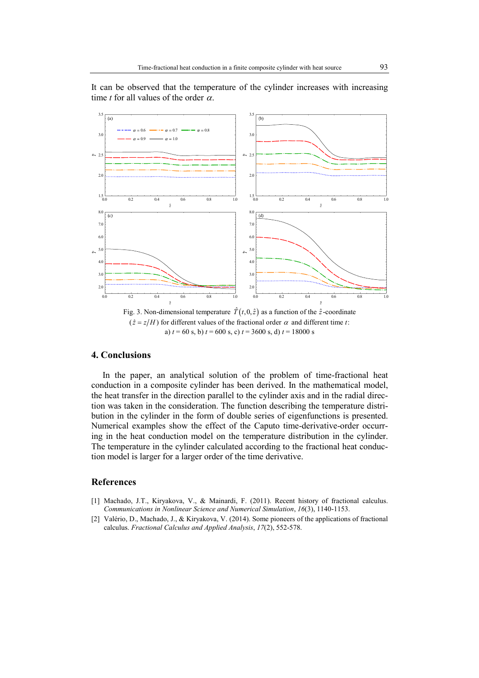It can be observed that the temperature of the cylinder increases with increasing time *t* for all values of the order  $\alpha$ .



 $(\hat{z} = z/H)$  for different values of the fractional order  $\alpha$  and different time *t*: a)  $t = 60$  s, b)  $t = 600$  s, c)  $t = 3600$  s, d)  $t = 18000$  s

#### **4. Conclusions**

In the paper, an analytical solution of the problem of time-fractional heat conduction in a composite cylinder has been derived. In the mathematical model, the heat transfer in the direction parallel to the cylinder axis and in the radial direction was taken in the consideration. The function describing the temperature distribution in the cylinder in the form of double series of eigenfunctions is presented. Numerical examples show the effect of the Caputo time-derivative-order occurring in the heat conduction model on the temperature distribution in the cylinder. The temperature in the cylinder calculated according to the fractional heat conduction model is larger for a larger order of the time derivative.

### **References**

- [1] Machado, J.T., Kiryakova, V., & Mainardi, F. (2011). Recent history of fractional calculus. *Communications in Nonlinear Science and Numerical Simulation*, *16*(3), 1140-1153.
- [2] Valério, D., Machado, J., & Kiryakova, V. (2014). Some pioneers of the applications of fractional calculus. *Fractional Calculus and Applied Analysis*, *17*(2), 552-578.